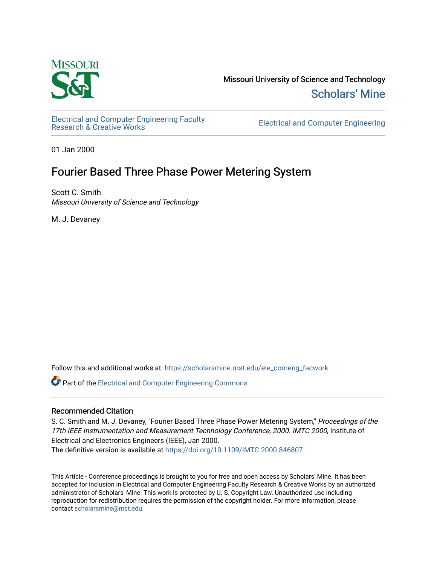

Missouri University of Science and Technology [Scholars' Mine](https://scholarsmine.mst.edu/) 

[Electrical and Computer Engineering Faculty](https://scholarsmine.mst.edu/ele_comeng_facwork)

**Electrical and Computer Engineering** 

01 Jan 2000

# Fourier Based Three Phase Power Metering System

Scott C. Smith Missouri University of Science and Technology

M. J. Devaney

Follow this and additional works at: [https://scholarsmine.mst.edu/ele\\_comeng\\_facwork](https://scholarsmine.mst.edu/ele_comeng_facwork?utm_source=scholarsmine.mst.edu%2Fele_comeng_facwork%2F1052&utm_medium=PDF&utm_campaign=PDFCoverPages)

**C** Part of the Electrical and Computer Engineering Commons

# Recommended Citation

S. C. Smith and M. J. Devaney, "Fourier Based Three Phase Power Metering System," Proceedings of the 17th IEEE Instrumentation and Measurement Technology Conference, 2000. IMTC 2000, Institute of Electrical and Electronics Engineers (IEEE), Jan 2000.

The definitive version is available at <https://doi.org/10.1109/IMTC.2000.846807>

This Article - Conference proceedings is brought to you for free and open access by Scholars' Mine. It has been accepted for inclusion in Electrical and Computer Engineering Faculty Research & Creative Works by an authorized administrator of Scholars' Mine. This work is protected by U. S. Copyright Law. Unauthorized use including reproduction for redistribution requires the permission of the copyright holder. For more information, please contact [scholarsmine@mst.edu](mailto:scholarsmine@mst.edu).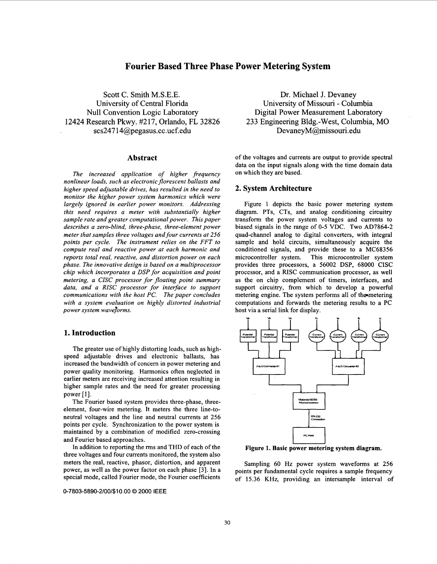# **Fourier Based Three Phase Power Metering System**

Scott C. Smith M.S.E.E. University of Central Florida Null Convention Logic Laboratory 12424 Research Pkwy. #217, Orlando, FL 32826 scs247 [l4@pegasus.cc.ucf.edu](mailto:l4@pegasus.cc.ucf.edu)

#### **Abstract**

*The increased application of higher frequency nonlinear loads, such as electronic florescent ballasts and higher speed adjustable drives, has resulted in the need to monitor the higher power system harmonics which were largely ignored in earlier power monitors. Addressing this need requires a meter with substantially higher sample rate and greater computational power. This paper describes a zero-blind, three-phase, three-element power meter that samples three voltages and four currents at 256 points per cycle. The instrument relies on the FFT to compute real and reactive power at each harmonic and reports total real, reactive, and distortion power on each phase. The innovative design is based on a multiprocessor chip which incorporates a DSP for acquisition and point metering, a CISC processor for floating point summary data, and a RISC processor for interface to support communications with the host PC. The paper concludes with a system evaluation on highly distorted industrial power system waveforms.* 

# **1. Introduction**

The greater use of highly distorting loads, such as highspeed adjustable drives and electronic ballasts, has increased the bandwidth of concern in power metering and power quality monitoring. Harmonics often neglected in earlier meters are receiving increased attention resulting in higher sample rates and the need for greater processing power [ **11.** 

The Fourier based system provides three-phase, threeelement, four-wire metering. It meters the three line-toneutral voltages and the line and neutral currents at 256 points per cycle. Synchronization to the power system is maintained by a combination of modified zero-crossing and Fourier based approaches.

In addition to reporting the rms and THD of each of the three voltages and four currents monitored, the system also meters the real, reactive, phasor, distortion, and apparent power, as well as the power factor on each phase **[3].** In a special mode, called Fourier mode, the Fourier coefficients

**0-7803-5890-2/001\$10.00** *0 2000* **IEEE** 

Dr. Michael J. Devaney University of Missouri - Columbia Digital Power Measurement Laboratory 233 Engineering B1dg.-West, Columbia, MO DevaneyM@missouri.edu

of the voltages and currents are output to provide spectral data on the input signals along with the time domain data on which they are based.

## **2. System Architecture**

Figure 1 depicts the basic power metering system diagram. PTs, CTs, and analog conditioning circuitry transform the power system voltages and currents to biased signals in the range of 0-5 VDC. Two AD7864-2 quad-channel analog to digital converters, with integral sample and hold circuits, simultaneously acquire the conditioned signals, and provide these to a MC68356 microcontroller system. This microcontroller system provides three processors, a 56002 DSP, 68000 CISC processor, and a RISC communication processor, as well as the on chip complement of timers, interfaces, and support circuitry, from which to develop a powerful metering engine. The system performs all of the metering computations and forwards the metering results to a PC host via a serial link for display.



**Figure 1. Basic power metering system diagram.** 

Sampling 60 Hz power system waveforms at 256 points per fundamental cycle requires a sample frequency of 15.36 KHz, providing an intersample interval of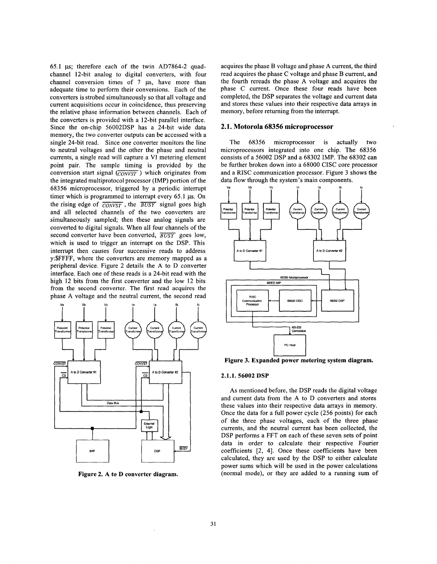65.1 **p;** therefore each of the twin AD7864-2 quadchannel 12-bit analog to digital converters, with four channel conversion times of 7  $\mu$ s, have more than adequate time to perform their conversions. Each of the converters is strobed simultaneously so that all voltage and current acquisitions occur in coincidence, thus preserving the relative phase information between channels. Each of the converters is provided with a 12-bit parallel interface. Since the on-chip 56002DSP has a 24-bit wide data memory, the two converter outputs can be accessed with a single 24-bit read. Since one converter monitors the line to neutral voltages and the other the phase and neutral currents, a single read will capture a VI metering element point pair. The sample timing is provided by the conversion start signal  $(\overline{convsT})$  which originates from the integrated multiprotocol processor (IMP) portion of the 68356 microprocessor, triggered by a periodic interrupt timer which is programmed to interrupt every 65.1 µs. On the rising edge of *CoNVsT,* the *BUSY* signal goes high and all selected channels of the two converters are simultaneously sampled; then these analog signals are converted to digital signals. When all four channels of the second converter have been converted,  $\overline{BUSY}$  goes low, which is used to trigger an interrupt on the DSP. This interrupt then causes four successive reads to address y:\$FFFF, where the converters are memory mapped as a peripheral device. Figure 2 details the A to D converter interface. Each one of these reads is a 24-bit read with the high 12 bits from the first converter and the low 12 bits from the second converter. The first read acquires the phase A voltage and the neutral current, the second read



**Figure 2. A to D converter diagram.** 

acquires the phase B voltage and phase A current, the third read acquires the phase C voltage and phase B current, and the fourth rereads the phase A voltage and acquires the phase C current. Once these four reads have been completed, the DSP separates the voltage and current data and stores these values into their respective data arrays in memory, before returning from the interrupt.

#### **2.1. Motorola 68356 microprocessor**

The 68356 microprocessor is actually two microprocessors integrated into one chip. The 68356 consists of a 56002 DSP and a 68302 IMP. The 68302 can be further broken down into a 68000 CISC core processor and a **RISC** communication processor. Figure 3 shows the data flow through the system's main components.



#### **2.1.1.56002 DSP**

As mentioned before, the DSP reads the digital voltage and current data from the A to D converters and stores these values into their respective data arrays in memory. Once the data for a full power cycle (256 points) for each of the three phase voltages, each of the three phase currents, and the neutral current has been collected, the DSP performs a FFT on each of these seven sets of point data in order to calculate their respective Fourier coefficients [2, 41. Once these coefficients have been calculated, they are used by the DSP to either calculate power sums which will be used in the power calculations (normal mode), or they are added to a running sum **of**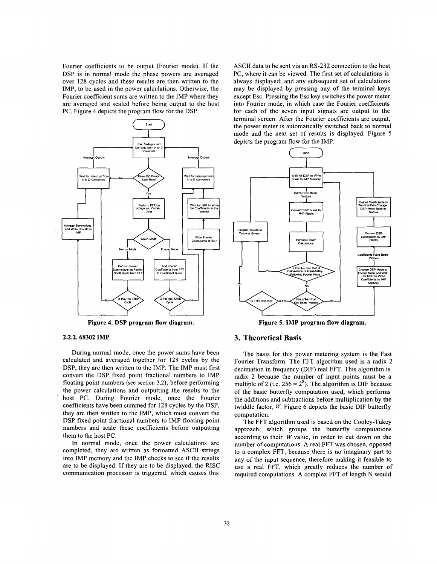Fourier coefficients to be output (Fourier mode). If the DSP is in normal mode the phase powers are averaged over 128 cycles and these results are then written to the IMP, to be used in the power calculations. Otherwise, the Fourier coefficient sums are written to the IMP where they are averaged and scaled before being output to the host PC. Figure 4 depicts the program flow for the DSP.



**Figure 4. DSP program flow diagram.** 

#### **2.2.2.68302 IMP**

During normal mode, once the power sums have been calculated and averaged together for 128 cycles by the DSP, they are then written to the IMP. The IMP must first convert the DSP fixed point fractional numbers to IMP floating point numbers (see section 3.2), before performing the power calculations and outputting the results to the host PC. During Fourier mode, once the Fourier coefficients have been summed for 128 cycles by the DSP, they are then written to the IMP, which must convert the DSP fixed point fractional numbers to IMP floating point numbers and scale these coefficients before outputting them to the host PC.

In normal mode, once the power calculations are completed, they are written as formatted ASCII strings into IMP memory and the IMP checks to see if the results are to be displayed. If they are to be displayed, the RISC communication processor is triggered, which causes this

ASCII data to be sent via an RS-232 connection to the host PC, where it can be viewed. The first set of calculations is always displayed; and any subsequent set of calculations may be displayed by pressing any of the terminal keys except Esc. Pressing the Esc key switches the power meter into Fourier mode, in which case the Fourier coefficients for each of the seven input signals are output to the terminal screen. After the Fourier coefficients are output, the power meter is automatically switched back to normal mode and the next set of results is displayed. Figure 5 depicts the program flow for the IMP. RS-232 connection to the host<br>The first set of calculations is<br>ubsequent set of calculations<br>ing any of the terminal keys<br>key switches the power meter<br>case the Fourier coefficients<br>to signals are output to the<br>ourier coeff



**Figure 5. IMP program flow diagram.** 

# **3. Theoretical Basis**

The basis for this power metering system is the Fast Fourier Transform. The FFT algorithm used is a radix 2 decimation in frequency (DIF) real FFT. This algorithm is radix 2 because the number of input points must be a multiple of 2 (i.e.  $256 = 2^8$ ). The algorithm is DIF because of the basic butterfly computation used, which performs the additions and subtractions before multiplication by the twiddle factor, *W.* [Figure 6](#page-4-0) depicts the basic DIF butterfly computation.

The FFT algorithm used is based on the Cooley-Tukey approach, which groups the butterfly computations according to their *W* value, in order to cut down on the number of computations, A real FFT was chosen, opposed to a complex FFT, because there is no imaginary part to any of the input sequence, therefore making it feasible to use a real FFT, which greatly reduces the number of required computations. A complex FFT of length N would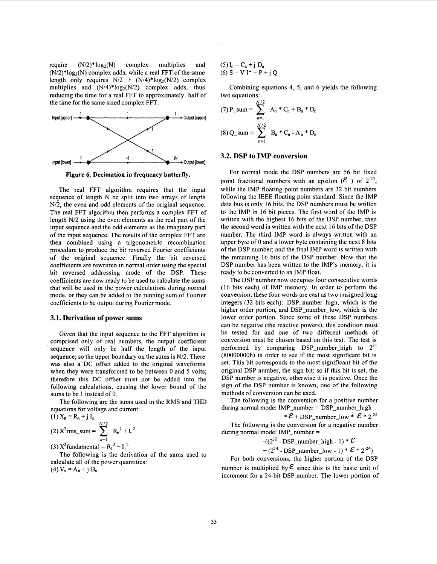<span id="page-4-0"></span>require  $(N/2)^* \log_2(N)$  complex multiplies and  $(N/2)^*log_2(N)$  complex adds, while a real FFT of the same length only requires  $N/2$  +  $(N/4)^*log_2(N/2)$  complex multiplies and  $(N/4)^*log_2(N/2)$  complex adds, thus reducing the time for a real FFT to approximately half of the time for the same sized complex FFT.



**Figure 6. Decimation in frequency butterfly.** 

The real FFT algorithm requires that the input sequence of length N be split into two arrays of length N/2, the even and odd elements of the original sequence. The real FFT algorithm then performs a complex FFT of length N/2 using the even elements as the real part of the input sequence and the odd elements as the imaginary part of the input sequence. The results of the complex FFT are then combined using a trigonometric recombination procedure **to** produce the bit reversed Fourier coefficients of the original sequence. Finally the bit reversed coefficients are rewritten in normal order using the special bit reversed addressing mode of the DSP. These coefficients are now ready to be used to calculate the sums that will **be** used in the power calculations during normal mode, or they can be added to the running sum of Fourier coefficients to be output during Fourier mode.

#### **3.1. Derivation of power sums**

Given that the input sequence to the FFT algorithm is comprised only of real numbers, the output coefficient sequence will only be half the length of the input sequence; so the upper boundary on the sums is N/2. There was also a DC offset added to the original waveforms when they were transformed to be between 0 and 5 volts; therefore this **DC** offset must not be added into the following calculations, causing the lower bound of the sums to be 1 instead of 0.

The following are the sums used in the RMS and THD equations for voltage and current:  $(1)X = R + iI$ 

$$
(1) \lambda_n = \lambda_n^{-1} \mathbf{J} \mathbf{I}_n
$$
  
(2)  $X^2$  rms\_sum =  $\sum_{n=1}^{N/2} R_n^2 + I_n^2$   
(3)  $X^2$  fundamental =  $R_1^2 + I_1^2$ 

calculate all of the power quantities:  $(4) V_n = A_n + j B_n$ The following is the derivation of the sums used to  $(5) I_n = C_n + j D_n$ (6)  $S = V I^* = P + i Q$ 

Combining equations 4, 5, and 6 yields the following two equations:

(7) P\_sum = 
$$
\sum_{n=1}^{N/2} A_n * C_n + B_n * D_n
$$
  
(8) Q\_sum =  $\sum_{n=1}^{N/2} B_n * C_n - A_n * D_n$ 

#### **3.2. DSP to IMP conversion**

For normal mode the DSP numbers are 56 bit fixed point fractional numbers with an epsilon  $(\mathcal{E})$  of  $2^{-23}$ , while the IMP floating point numbers are 32 bit numbers following the IEEE floating point standard. Since the IMP data bus is only 16 bits, the DSP numbers must be written to the IMP in 16 bit pieces. The first word of the IMP is written with the highest 16 bits of the DSP number, then the second word is written with the next 16 bits of the DSP number. The third IMP word is always written with an upper byte of 0 and a lower byte containing the next 8 bits of the DSP number; and the final IMP word is written with the remaining 16 bits of the DSP number. Now that the DSP number has been written to the IMP's memory, it is ready to be converted to an IMP float.

The DSP number now occupies four consecutive words (16 bits each) of IMP memory. In order to perform the conversion, these four words are cast as two unsigned long integers (32 bits each): DSP\_number\_high, which is the higher order portion, and DSP\_number\_low, which is the lower order portion. Since some of these DSP numbers can be negative (the reactive powers), this condition must be tested for and one of two different methods of conversion must be chosen based on this test. The test is performed by comparing DSP\_number\_high to  $2^{31}$ (8OOOOOOOh) in order to see if the most significant bit is set. This bit corresponds to the most significant bit of the original DSP number, the sign bit; so if this bit is set, the DSP number is negative, otherwise it is positive. Once the sign of the DSP number is known, one of the following methods of conversion can be used.

The following is the conversion for a positive number during normal mode: IMP\_number = DSP\_number\_high

\* 
$$
\mathcal{E}
$$
 + DSP\_number\_low \*  $\mathcal{E}$  \* 2<sup>-24</sup>

The following is the conversion for a negative number during normal mode: IMP\_number =

$$
-( (2^{32} - \text{DSP\_number\_high} - 1) * \mathcal{E}
$$

+  $(2^{24}$  - DSP\_number\_low - 1) \*  $\mathcal{E}$  \*  $2^{-24}$ )

For both conversions, the higher portion of the DSP number is multiplied by  $\mathcal E$  since this is the basic unit of increment for a 24-bit DSP number. The lower portion of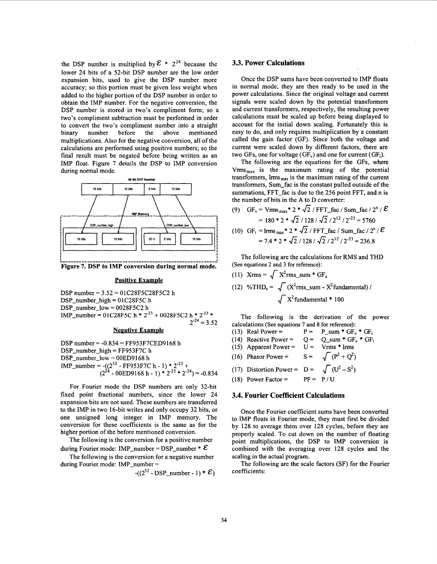the DSP number is multiplied by  $\mathcal{E} * 2^{24}$  because the lower 24 bits of a 52-bit DSP number are the low order expansion bits, used to give the DSP number more accuracy; so this portion must be given less weight when added to the higher portion of the DSP number in order to obtain the IMP number. For the negative conversion, the DSP number is stored in two's compliment form; so a two's compliment subtraction must be performed in order to convert the two's compliment number into a straight binary number before the above mentioned multiplications. Also for the negative conversion, all of the calculations are performed using positive numbers; so the final result must be negated before being written as an IMP float. Figure 7 details the DSP to IMP conversion during normal mode.



**Figure 7. DSP to IMP conversion during normal mode.** 

#### **Positive Example**

DSP number = 
$$
3.52 = 01C28F5C28F5C2
$$
 h

\nDSP\_number\_high =  $01C28F5C$  h

\nDSP\_number\_low =  $0028F5C2$  h

\nIMP\_number =  $01C28F5C$  h \*  $2^{23}$  +  $0028F5C2$  h \*  $2^{23}$  \*  $2^{24}$  =  $3.52$ 

\nNegative Example

#### **Negative Examule**

DSP number = -0.834 = FF953F7CED9168 h DSPnumber-high = FF953F7C h DSP-number-low = 00ED9 168 h IMP-number = -(p3' - FF953F7C h - 1) \* 2-23 + (2' - 00ED9168 h - **1)** \* 2-23 \* 2-24) = -0.834

For Fourier mode the DSP numbers are only 32-bit fixed point fractional numbers, since the lower 24 expansion bits are not used. These numbers are transferred to the IMP in two 16-bit writes and only occupy 32 bits, or one unsigned long integer in IMP memory. The conversion for these coefficients is the same as for the higher portion of the before mentioned conversion.

The following is the conversion for a positive number during Fourier mode: IMP\_number = DSP\_number \*  $\mathcal E$ 

The following is the conversion for a negative number during Fourier mode: IMP\_number =

$$
-(2^{32} \cdot \text{DSP\_number} \cdot 1) * \mathcal{E})
$$

# **33. Power Calculations**

Once the DSP sums have been converted to IMP floats in normal mode, they are then ready to be used in the power calculations. Since the original voltage and current signals were scaled down by the potential transformers and current transformers, respectively, the resulting power calculations must be scaled up before being displayed to account for the initial down scaling. Fortunately this is easy to do, and only requires multiplication by a constant called the gain factor (GF). Since both the voltage and current were scaled down by different factors, there are two GFs, one for voltage  $(GF_v)$  and one for current  $(GF_i)$ .

The following are the equations for the GFs, where  $V_{\rm rms\,max}$  is the maximum rating of the potential transformers,  $\text{I} \text{rms}_{\text{max}}$  is the maximum rating of the current transformers, Sum-fac is the constant pulled outside of the summations, FFT\_fac is due to the 256 point FFT, and n is the number of bits in the **A** to D converter:

(9) GF<sub>v</sub> =  $V_{rms_{max}}$ \* 2 \*  $\sqrt{2}$  / FFT\_fac / Sum\_fac / 2<sup>n</sup> /  $\mathcal{E}$ =  $\text{Vrms}_{\text{max}}$  \* 2 \*  $\sqrt{2}/\text{FFT}_{\text{max}}$  / Sum\_tac / 2"<br>=  $180 * 2 * \sqrt{2}/128 / \sqrt{2} / 2^{12} / 2^{-23} = 5760$ 

$$
= 180 * 2 * \sqrt{2} / 128 / \sqrt{2} / 2^{12} / 2^{22} = 5760
$$
  
(10) GF<sub>1</sub> = Irms<sub>max</sub>\* 2 \*  $\sqrt{2}$  / FFT\_fac / Sum\_fac / 2<sup>n</sup> /  $\mathcal{E}$   
= 7.4 \* 2 \*  $\sqrt{2}$  / 128 /  $\sqrt{2}$  / 2<sup>12</sup> / 2<sup>23</sup> = 236.8

The following are the calculations for RMS and THD (See equations **2** and 3 for reference):

- (11) Xrms =  $\sqrt{X^2}$ rms\_sum \* GF<sub>x</sub>
- (12) %THD<sub>x</sub> =  $\sqrt{(X^2 \text{rms\_sum X}^2 \text{fundamental})/$  $\sqrt{X^2}$ fundamental \* 100

The following is the derivation of the power calculations (See equations 7 and 8 for reference):<br>(13) Real Power =  $P = P \text{ sum } * GF$ 

(13) Real Power =  $P = P_{sum} * GF_v * GF_i$ (14) Reactive Power =  $Q = Q \text{sum} * GF_v * GF_i$ (15) Apparent Power  $=$ (16) Phasor Power =  $S = \sqrt{(P^2 + Q^2)}$ (17) Distortion Power =  $D = \sqrt{(U^2 - S^2)}$ <br>(18) Power Factor = PF = P/U  $(18)$  Power Factor =

### **3.4. Fourier Coefficient Calculations**

Once the Fourier coefficient sums have been converted to IMP floats in Fourier mode, they must first be divided by 128 to average them over 128 cycles, before they are properly scaled. To cut down on the number of floating point multiplications, the DSP to IMP conversion is combined with the averaging over 128 cycles and the scaling in the actual program.

The following are the scale factors **(SF)** for the Fourier coefficients: